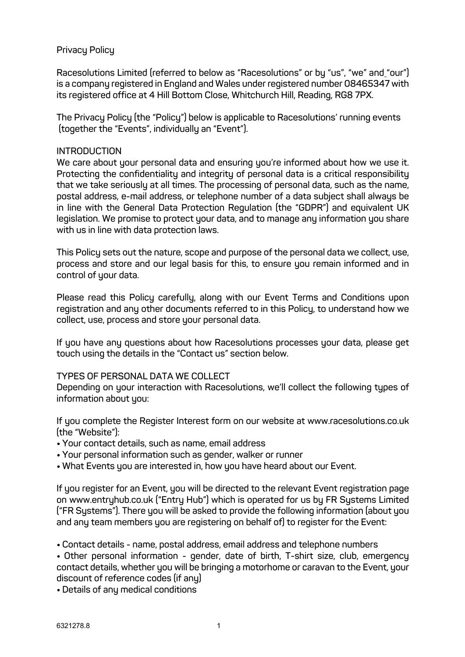### **Privacy Policy**

**Racesolutions Limited (referred to below as "Racesolutions" or by "us", "we" and "our") is a company registered in England and Wales under registered number 08465347 with its registered office at 4 Hill Bottom Close, Whitchurch Hill, Reading, RG8 7PX.**

**The Privacy Policy (the "Policy") below is applicable to Racesolutions' running events (together the "Events", individually an "Event").**

#### **INTRODUCTION**

**We care about your personal data and ensuring you're informed about how we use it. Protecting the confidentiality and integrity of personal data is a critical responsibility that we take seriously at all times. The processing of personal data, such as the name, postal address, e-mail address, or telephone number of a data subject shall always be in line with the General Data Protection Regulation (the "GDPR") and equivalent UK legislation. We promise to protect your data, and to manage any information you share with us in line with data protection laws.**

**This Policy sets out the nature, scope and purpose of the personal data we collect, use, process and store and our legal basis for this, to ensure you remain informed and in control of your data.**

**Please read this Policy carefully, along with our Event Terms and Conditions upon registration and any other documents referred to in this Policy, to understand how we collect, use, process and store your personal data.**

**If you have any questions about how Racesolutions processes your data, please get touch using the details in the "Contact us" section below.**

#### **TYPES OF PERSONAL DATA WE COLLECT**

**Depending on your interaction with Racesolutions, we'll collect the following types of information about you:**

**If you complete the Register Interest form on our website at www.racesolutions.co.uk (the "Website"):**

- **Your contact details, such as name, email address**
- **Your personal information such as gender, walker or runner**
- **What Events you are interested in, how you have heard about our Event.**

**If you register for an Event, you will be directed to the relevant Event registration page on www.entryhub.co.uk ("Entry Hub") which is operated for us by FR Systems Limited ("FR Systems"). There you will be asked to provide the following information (about you and any team members you are registering on behalf of) to register for the Event:**

• **Contact details - name, postal address, email address and telephone numbers**

• **Other personal information - gender, date of birth, T-shirt size, club, emergency contact details, whether you will be bringing a motorhome or caravan to the Event, your discount of reference codes (if any)**

• **Details of any medical conditions**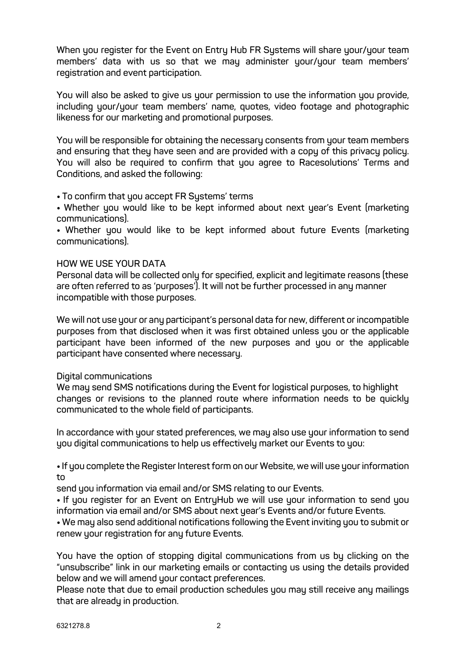**When you register for the Event on Entry Hub FR Systems will share your/your team members' data with us so that we may administer your/your team members' registration and event participation.**

**You will also be asked to give us your permission to use the information you provide, including your/your team members' name, quotes, video footage and photographic likeness for our marketing and promotional purposes.**

**You will be responsible for obtaining the necessary consents from your team members and ensuring that they have seen and are provided with a copy of this privacy policy. You will also be required to confirm that you agree to Racesolutions' Terms and Conditions, and asked the following:**

• **To confirm that you accept FR Systems' terms**

• **Whether you would like to be kept informed about next year's Event (marketing communications).** 

• **Whether you would like to be kept informed about future Events (marketing communications).** 

#### **HOW WE USE YOUR DATA**

**Personal data will be collected only for specified, explicit and legitimate reasons (these are often referred to as 'purposes'). It will not be further processed in any manner incompatible with those purposes.**

**We will not use your or any participant's personal data for new, different or incompatible purposes from that disclosed when it was first obtained unless you or the applicable participant have been informed of the new purposes and you or the applicable participant have consented where necessary.**

#### **Digital communications**

**We may send SMS notifications during the Event for logistical purposes, to highlight changes or revisions to the planned route where information needs to be quickly communicated to the whole field of participants.**

**In accordance with your stated preferences, we may also use your information to send you digital communications to help us effectively market our Events to you:**

• **If you complete the Register Interest form on our Website, we will use your information to** 

**send you information via email and/or SMS relating to our Events.**

• **If you register for an Event on EntryHub we will use your information to send you information via email and/or SMS about next year's Events and/or future Events.**

• **We may also send additional notifications following the Event inviting you to submit or renew your registration for any future Events.**

**You have the option of stopping digital communications from us by clicking on the "unsubscribe" link in our marketing emails or contacting us using the details provided below and we will amend your contact preferences.**

**Please note that due to email production schedules you may still receive any mailings that are already in production.**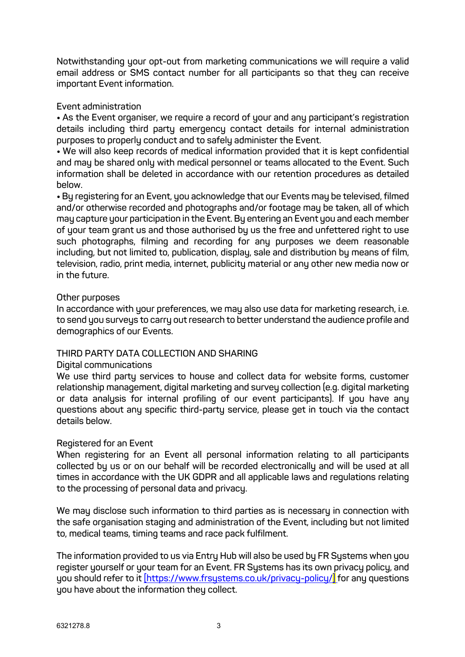**Notwithstanding your opt-out from marketing communications we will require a valid email address or SMS contact number for all participants so that they can receive important Event information.**

### **Event administration**

• **As the Event organiser, we require a record of your and any participant's registration details including third party emergency contact details for internal administration purposes to properly conduct and to safely administer the Event.**

• **We will also keep records of medical information provided that it is kept confidential and may be shared only with medical personnel or teams allocated to the Event. Such information shall be deleted in accordance with our retention procedures as detailed below.**

• **By registering for an Event, you acknowledge that our Events may be televised, filmed and/or otherwise recorded and photographs and/or footage may be taken, all of which may capture your participation in the Event. By entering an Event you and each member of your team grant us and those authorised by us the free and unfettered right to use such photographs, filming and recording for any purposes we deem reasonable including, but not limited to, publication, display, sale and distribution by means of film, television, radio, print media, internet, publicity material or any other new media now or in the future.**

#### **Other purposes**

**In accordance with your preferences, we may also use data for marketing research, i.e. to send you surveys to carry out research to better understand the audience profile and demographics of our Events.**

# **THIRD PARTY DATA COLLECTION AND SHARING**

#### **Digital communications**

**We use third party services to house and collect data for website forms, customer relationship management, digital marketing and survey collection (e.g. digital marketing or data analysis for internal profiling of our event participants). If you have any questions about any specific third-party service, please get in touch via the contact details below.**

#### **Registered for an Event**

**When registering for an Event all personal information relating to all participants collected by us or on our behalf will be recorded electronically and will be used at all times in accordance with the UK GDPR and all applicable laws and regulations relating to the processing of personal data and privacy.** 

**We may disclose such information to third parties as is necessary in connection with the safe organisation staging and administration of the Event, including but not limited to, medical teams, timing teams and race pack fulfilment.** 

**The information provided to us via Entry Hub will also be used by FR Systems when you register yourself or your team for an Event. FR Systems has its own privacy policy, and you should refer to it [https://www.frsystems.co.uk/privacy-policy/] for any questions you have about the information they collect.**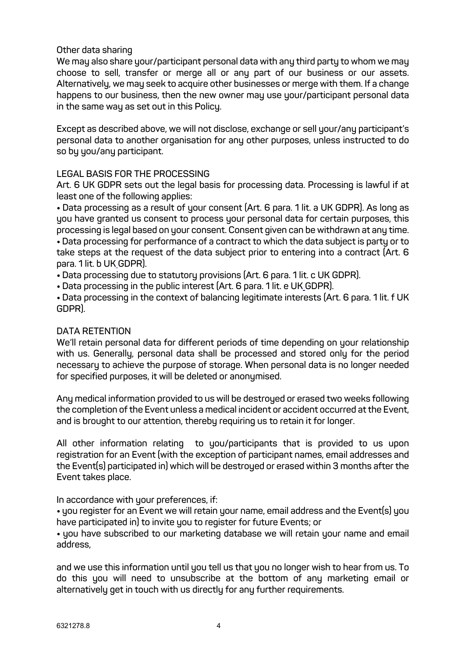### **Other data sharing**

**We may also share your/participant personal data with any third party to whom we may choose to sell, transfer or merge all or any part of our business or our assets. Alternatively, we may seek to acquire other businesses or merge with them. If a change happens to our business, then the new owner may use your/participant personal data in the same way as set out in this Policy.**

**Except as described above, we will not disclose, exchange or sell your/any participant's personal data to another organisation for any other purposes, unless instructed to do so by you/any participant.**

### **LEGAL BASIS FOR THE PROCESSING**

**Art. 6 UK GDPR sets out the legal basis for processing data. Processing is lawful if at least one of the following applies:**

• **Data processing as a result of your consent (Art. 6 para. 1 lit. a UK GDPR). As long as you have granted us consent to process your personal data for certain purposes, this processing is legal based on your consent. Consent given can be withdrawn at any time.**  • **Data processing for performance of a contract to which the data subject is party or to take steps at the request of the data subject prior to entering into a contract (Art. 6 para. 1 lit. b UK GDPR).**

• **Data processing due to statutory provisions (Art. 6 para. 1 lit. c UK GDPR).**

• **Data processing in the public interest (Art. 6 para. 1 lit. e UK GDPR).**

• **Data processing in the context of balancing legitimate interests (Art. 6 para. 1 lit. f UK GDPR).**

#### **DATA RETENTION**

**We'll retain personal data for different periods of time depending on your relationship with us. Generally, personal data shall be processed and stored only for the period necessary to achieve the purpose of storage. When personal data is no longer needed for specified purposes, it will be deleted or anonymised.**

**Any medical information provided to us will be destroyed or erased two weeks following the completion of the Event unless a medical incident or accident occurred at the Event, and is brought to our attention, thereby requiring us to retain it for longer.** 

**All other information relating to you/participants that is provided to us upon registration for an Event (with the exception of participant names, email addresses and the Event(s) participated in) which will be destroyed or erased within 3 months after the Event takes place.**

**In accordance with your preferences, if:** 

• **you register for an Event we will retain your name, email address and the Event(s) you have participated in) to invite you to register for future Events; or**

• **you have subscribed to our marketing database we will retain your name and email address,**

**and we use this information until you tell us that you no longer wish to hear from us. To do this you will need to unsubscribe at the bottom of any marketing email or alternatively get in touch with us directly for any further requirements.**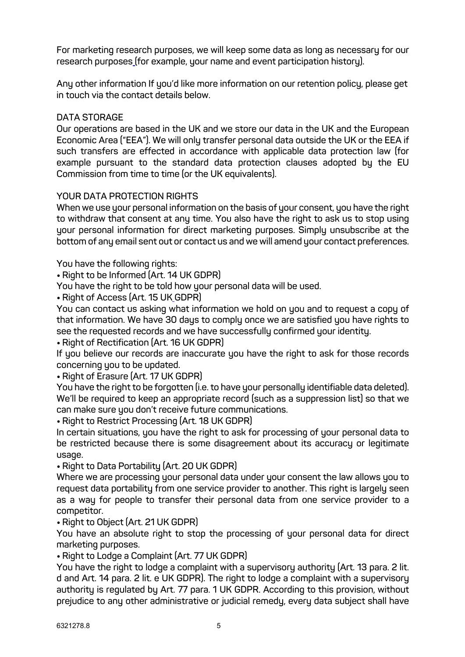**For marketing research purposes, we will keep some data as long as necessary for our research purposes (for example, your name and event participation history).**

**Any other information If you'd like more information on our retention policy, please get in touch via the contact details below.**

## **DATA STORAGE**

**Our operations are based in the UK and we store our data in the UK and the European Economic Area ("EEA"). We will only transfer personal data outside the UK or the EEA if such transfers are effected in accordance with applicable data protection law (for example pursuant to the standard data protection clauses adopted by the EU Commission from time to time (or the UK equivalents).** 

### **YOUR DATA PROTECTION RIGHTS**

**When we use your personal information on the basis of your consent, you have the right to withdraw that consent at any time. You also have the right to ask us to stop using your personal information for direct marketing purposes. Simply unsubscribe at the bottom of any email sent out or contact us and we will amend your contact preferences.**

**You have the following rights:**

• **Right to be Informed (Art. 14 UK GDPR)**

**You have the right to be told how your personal data will be used.**

• **Right of Access (Art. 15 UK GDPR)**

**You can contact us asking what information we hold on you and to request a copy of that information. We have 30 days to comply once we are satisfied you have rights to see the requested records and we have successfully confirmed your identity.**

• **Right of Rectification (Art. 16 UK GDPR)**

**If you believe our records are inaccurate you have the right to ask for those records concerning you to be updated.**

• **Right of Erasure (Art. 17 UK GDPR)**

**You have the right to be forgotten (i.e. to have your personally identifiable data deleted). We'll be required to keep an appropriate record (such as a suppression list) so that we can make sure you don't receive future communications.**

• **Right to Restrict Processing (Art. 18 UK GDPR)**

**In certain situations, you have the right to ask for processing of your personal data to be restricted because there is some disagreement about its accuracy or legitimate usage.**

• **Right to Data Portability (Art. 20 UK GDPR)**

**Where we are processing your personal data under your consent the law allows you to request data portability from one service provider to another. This right is largely seen as a way for people to transfer their personal data from one service provider to a competitor.**

• **Right to Object (Art. 21 UK GDPR)**

**You have an absolute right to stop the processing of your personal data for direct marketing purposes.**

• **Right to Lodge a Complaint (Art. 77 UK GDPR)**

**You have the right to lodge a complaint with a supervisory authority (Art. 13 para. 2 lit. d and Art. 14 para. 2 lit. e UK GDPR). The right to lodge a complaint with a supervisory authority is regulated by Art. 77 para. 1 UK GDPR. According to this provision, without prejudice to any other administrative or judicial remedy, every data subject shall have**